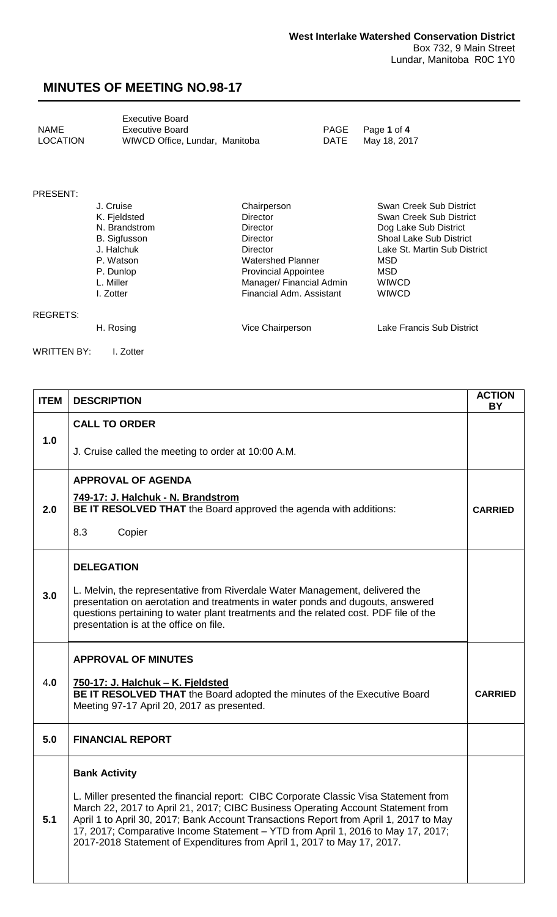#### **MINUTES OF MEETING NO.98-17**

<span id="page-0-0"></span>

|             | <b>Executive Board</b>         |  |
|-------------|--------------------------------|--|
| <b>NAME</b> | <b>Executive Board</b>         |  |
| LOCATION    | WIWCD Office, Lundar, Manitoba |  |

PAGE Page 1 of 4<br>DATE May 18, 201 May 18, 2017

#### PRESENT:

REGRETS:

| J. Cruise           | Chairperson                 | Swan Creek Sub District        |
|---------------------|-----------------------------|--------------------------------|
| K. Fjeldsted        | <b>Director</b>             | Swan Creek Sub District        |
| N. Brandstrom       | <b>Director</b>             | Dog Lake Sub District          |
| <b>B.</b> Sigfusson | Director                    | <b>Shoal Lake Sub District</b> |
| J. Halchuk          | Director                    | Lake St. Martin Sub District   |
| P. Watson           | Watershed Planner           | MSD                            |
| P. Dunlop           | <b>Provincial Appointee</b> | MSD                            |
| L. Miller           | Manager/ Financial Admin    | <b>WIWCD</b>                   |
| I. Zotter           | Financial Adm. Assistant    | <b>WIWCD</b>                   |
|                     |                             |                                |
|                     |                             |                                |

H. Rosing **National Community Community Community** Vice Chairperson **Lake Francis Sub District** 

WRITTEN BY: I. Zotter

| <b>ITEM</b> | <b>DESCRIPTION</b>                                                                                                                                                                                                                                                                                                                                                                                                               | <b>ACTION</b><br><b>BY</b> |
|-------------|----------------------------------------------------------------------------------------------------------------------------------------------------------------------------------------------------------------------------------------------------------------------------------------------------------------------------------------------------------------------------------------------------------------------------------|----------------------------|
|             | <b>CALL TO ORDER</b>                                                                                                                                                                                                                                                                                                                                                                                                             |                            |
| 1.0         | J. Cruise called the meeting to order at 10:00 A.M.                                                                                                                                                                                                                                                                                                                                                                              |                            |
|             | <b>APPROVAL OF AGENDA</b>                                                                                                                                                                                                                                                                                                                                                                                                        |                            |
| 2.0         | 749-17: J. Halchuk - N. Brandstrom<br>BE IT RESOLVED THAT the Board approved the agenda with additions:                                                                                                                                                                                                                                                                                                                          | <b>CARRIED</b>             |
|             | 8.3<br>Copier                                                                                                                                                                                                                                                                                                                                                                                                                    |                            |
|             | <b>DELEGATION</b>                                                                                                                                                                                                                                                                                                                                                                                                                |                            |
| 3.0         | L. Melvin, the representative from Riverdale Water Management, delivered the<br>presentation on aerotation and treatments in water ponds and dugouts, answered<br>questions pertaining to water plant treatments and the related cost. PDF file of the<br>presentation is at the office on file.                                                                                                                                 |                            |
|             | <b>APPROVAL OF MINUTES</b>                                                                                                                                                                                                                                                                                                                                                                                                       |                            |
| 4.0         | 750-17: J. Halchuk - K. Fjeldsted<br>BE IT RESOLVED THAT the Board adopted the minutes of the Executive Board<br>Meeting 97-17 April 20, 2017 as presented.                                                                                                                                                                                                                                                                      | <b>CARRIED</b>             |
| 5.0         | <b>FINANCIAL REPORT</b>                                                                                                                                                                                                                                                                                                                                                                                                          |                            |
|             | <b>Bank Activity</b>                                                                                                                                                                                                                                                                                                                                                                                                             |                            |
| 5.1         | L. Miller presented the financial report: CIBC Corporate Classic Visa Statement from<br>March 22, 2017 to April 21, 2017; CIBC Business Operating Account Statement from<br>April 1 to April 30, 2017; Bank Account Transactions Report from April 1, 2017 to May<br>17, 2017; Comparative Income Statement - YTD from April 1, 2016 to May 17, 2017;<br>2017-2018 Statement of Expenditures from April 1, 2017 to May 17, 2017. |                            |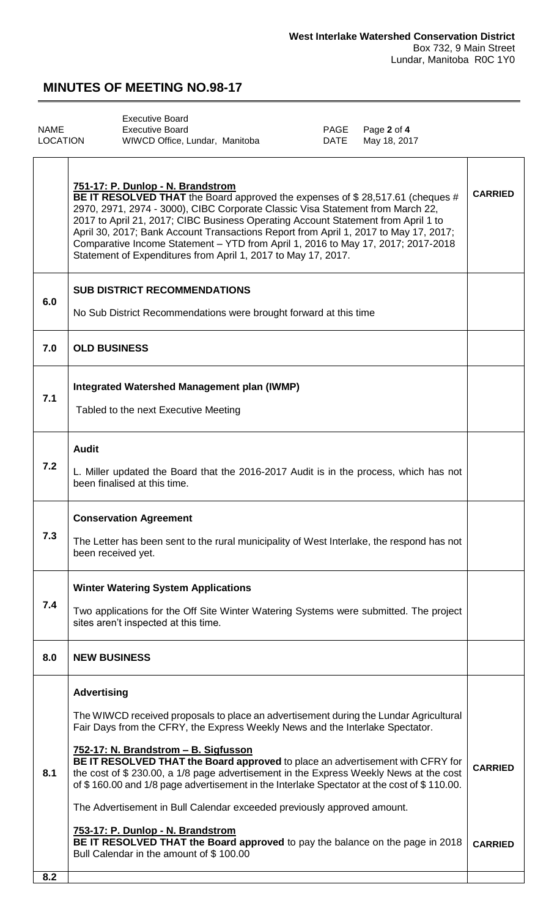## **MINUTES OF MEETING NO.98-17**

<span id="page-1-0"></span>

|          | <b>Executive Board</b>         |      |                  |
|----------|--------------------------------|------|------------------|
| NAME     | <b>Executive Board</b>         |      | PAGE Page 2 of 4 |
| LOCATION | WIWCD Office, Lundar, Manitoba | DATE | May 18, 2017     |

|     | 751-17: P. Dunlop - N. Brandstrom<br>BE IT RESOLVED THAT the Board approved the expenses of \$28,517.61 (cheques #<br>2970, 2971, 2974 - 3000), CIBC Corporate Classic Visa Statement from March 22,<br>2017 to April 21, 2017; CIBC Business Operating Account Statement from April 1 to<br>April 30, 2017; Bank Account Transactions Report from April 1, 2017 to May 17, 2017;<br>Comparative Income Statement - YTD from April 1, 2016 to May 17, 2017; 2017-2018<br>Statement of Expenditures from April 1, 2017 to May 17, 2017.                                                                                                                                                                                                                    | <b>CARRIED</b>                   |
|-----|-----------------------------------------------------------------------------------------------------------------------------------------------------------------------------------------------------------------------------------------------------------------------------------------------------------------------------------------------------------------------------------------------------------------------------------------------------------------------------------------------------------------------------------------------------------------------------------------------------------------------------------------------------------------------------------------------------------------------------------------------------------|----------------------------------|
| 6.0 | <b>SUB DISTRICT RECOMMENDATIONS</b><br>No Sub District Recommendations were brought forward at this time                                                                                                                                                                                                                                                                                                                                                                                                                                                                                                                                                                                                                                                  |                                  |
| 7.0 | <b>OLD BUSINESS</b>                                                                                                                                                                                                                                                                                                                                                                                                                                                                                                                                                                                                                                                                                                                                       |                                  |
| 7.1 | <b>Integrated Watershed Management plan (IWMP)</b><br>Tabled to the next Executive Meeting                                                                                                                                                                                                                                                                                                                                                                                                                                                                                                                                                                                                                                                                |                                  |
| 7.2 | <b>Audit</b><br>L. Miller updated the Board that the 2016-2017 Audit is in the process, which has not<br>been finalised at this time.                                                                                                                                                                                                                                                                                                                                                                                                                                                                                                                                                                                                                     |                                  |
| 7.3 | <b>Conservation Agreement</b><br>The Letter has been sent to the rural municipality of West Interlake, the respond has not<br>been received yet.                                                                                                                                                                                                                                                                                                                                                                                                                                                                                                                                                                                                          |                                  |
| 7.4 | <b>Winter Watering System Applications</b><br>Two applications for the Off Site Winter Watering Systems were submitted. The project<br>sites aren't inspected at this time.                                                                                                                                                                                                                                                                                                                                                                                                                                                                                                                                                                               |                                  |
| 8.0 | <b>NEW BUSINESS</b>                                                                                                                                                                                                                                                                                                                                                                                                                                                                                                                                                                                                                                                                                                                                       |                                  |
| 8.1 | <b>Advertising</b><br>The WIWCD received proposals to place an advertisement during the Lundar Agricultural<br>Fair Days from the CFRY, the Express Weekly News and the Interlake Spectator.<br>752-17: N. Brandstrom - B. Sigfusson<br>BE IT RESOLVED THAT the Board approved to place an advertisement with CFRY for<br>the cost of \$230.00, a 1/8 page advertisement in the Express Weekly News at the cost<br>of \$160.00 and 1/8 page advertisement in the Interlake Spectator at the cost of \$110.00.<br>The Advertisement in Bull Calendar exceeded previously approved amount.<br>753-17: P. Dunlop - N. Brandstrom<br>BE IT RESOLVED THAT the Board approved to pay the balance on the page in 2018<br>Bull Calendar in the amount of \$100.00 | <b>CARRIED</b><br><b>CARRIED</b> |
| 8.2 |                                                                                                                                                                                                                                                                                                                                                                                                                                                                                                                                                                                                                                                                                                                                                           |                                  |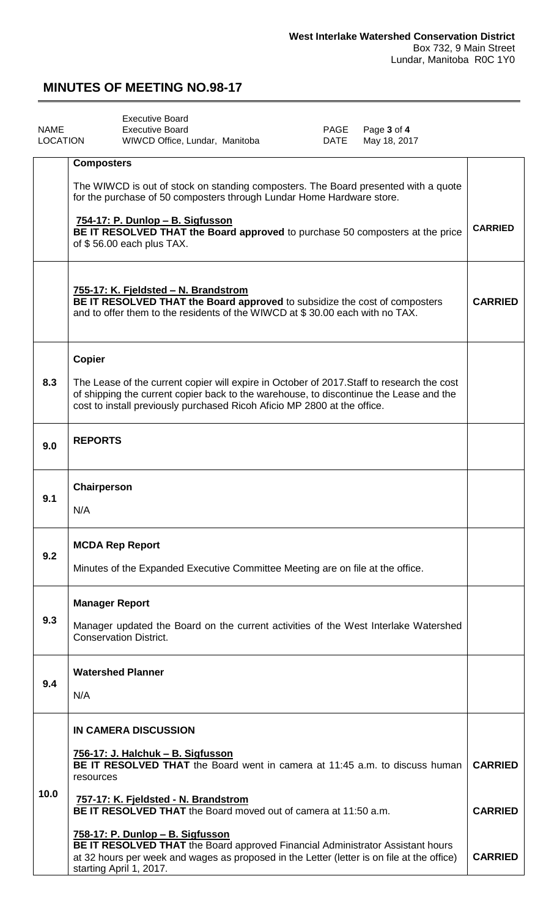### <span id="page-2-0"></span>**MINUTES OF MEETING NO.98-17**

| <b>NAME</b><br>LOCATION | <b>Executive Board</b><br>Page 3 of 4<br><b>Executive Board</b><br>PAGE<br>WIWCD Office, Lundar, Manitoba<br>DATE<br>May 18, 2017                                                                                                                                |                |  |
|-------------------------|------------------------------------------------------------------------------------------------------------------------------------------------------------------------------------------------------------------------------------------------------------------|----------------|--|
|                         | <b>Composters</b>                                                                                                                                                                                                                                                |                |  |
|                         | The WIWCD is out of stock on standing composters. The Board presented with a quote<br>for the purchase of 50 composters through Lundar Home Hardware store.                                                                                                      |                |  |
|                         | 754-17: P. Dunlop - B. Sigfusson<br><b>CARRIED</b><br>BE IT RESOLVED THAT the Board approved to purchase 50 composters at the price<br>of \$56.00 each plus TAX.                                                                                                 |                |  |
|                         | 755-17: K. Fjeldsted - N. Brandstrom<br>BE IT RESOLVED THAT the Board approved to subsidize the cost of composters<br>and to offer them to the residents of the WIWCD at \$30.00 each with no TAX.                                                               | <b>CARRIED</b> |  |
|                         | <b>Copier</b>                                                                                                                                                                                                                                                    |                |  |
| 8.3                     | The Lease of the current copier will expire in October of 2017. Staff to research the cost<br>of shipping the current copier back to the warehouse, to discontinue the Lease and the<br>cost to install previously purchased Ricoh Aficio MP 2800 at the office. |                |  |
| 9.0                     | <b>REPORTS</b>                                                                                                                                                                                                                                                   |                |  |
|                         | Chairperson                                                                                                                                                                                                                                                      |                |  |
| 9.1                     | N/A                                                                                                                                                                                                                                                              |                |  |
| 9.2                     | <b>MCDA Rep Report</b><br>Minutes of the Expanded Executive Committee Meeting are on file at the office.                                                                                                                                                         |                |  |
|                         | <b>Manager Report</b>                                                                                                                                                                                                                                            |                |  |
| 9.3                     | Manager updated the Board on the current activities of the West Interlake Watershed<br><b>Conservation District.</b>                                                                                                                                             |                |  |
| 9.4                     | <b>Watershed Planner</b><br>N/A                                                                                                                                                                                                                                  |                |  |
|                         | <b>IN CAMERA DISCUSSION</b>                                                                                                                                                                                                                                      |                |  |
|                         | 756-17: J. Halchuk - B. Sigfusson<br><b>BE IT RESOLVED THAT</b> the Board went in camera at 11:45 a.m. to discuss human<br>resources                                                                                                                             | <b>CARRIED</b> |  |
| 10.0                    | 757-17: K. Fjeldsted - N. Brandstrom<br><b>BE IT RESOLVED THAT</b> the Board moved out of camera at 11:50 a.m.                                                                                                                                                   | <b>CARRIED</b> |  |
|                         | 758-17: P. Dunlop - B. Sigfusson<br>BE IT RESOLVED THAT the Board approved Financial Administrator Assistant hours<br>at 32 hours per week and wages as proposed in the Letter (letter is on file at the office)<br>starting April 1, 2017.                      | <b>CARRIED</b> |  |